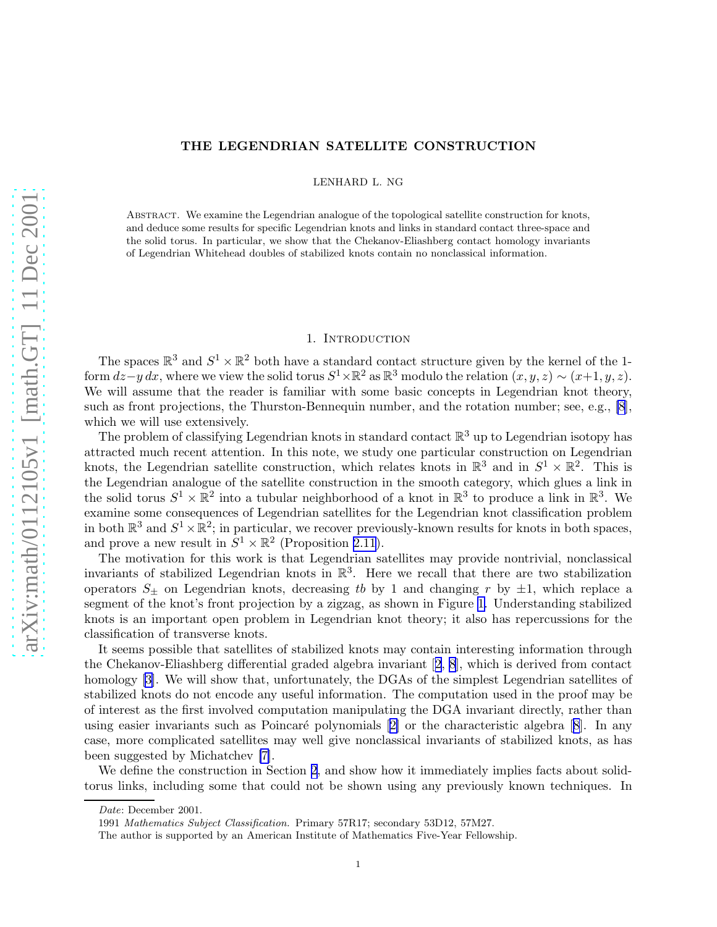### THE LEGENDRIAN SATELLITE CONSTRUCTION

LENHARD L. NG

Abstract. We examine the Legendrian analogue of the topological satellite construction for knots, and deduce some results for specific Legendrian knots and links in standard contact three-space and the solid torus. In particular, we show that the Chekanov-Eliashberg contact homology invariants of Legendrian Whitehead doubles of stabilized knots contain no nonclassical information.

### 1. INTRODUCTION

The spaces  $\mathbb{R}^3$  and  $S^1 \times \mathbb{R}^2$  both have a standard contact structure given by the kernel of the 1form  $dz-y\,dx$ , where we view the solid torus  $S^1\times\mathbb{R}^2$  as  $\mathbb{R}^3$  modulo the relation  $(x, y, z) \sim (x+1, y, z)$ . We will assume that the reader is familiar with some basic concepts in Legendrian knot theory, such as front projections, the Thurston-Bennequin number, and the rotation number; see, e.g., [\[8\]](#page-9-0), which we will use extensively.

The problem of classifying Legendrian knots in standard contact  $\mathbb{R}^3$  up to Legendrian isotopy has attracted much recent attention. In this note, we study one particular construction on Legendrian knots, the Legendrian satellite construction, which relates knots in  $\mathbb{R}^3$  and in  $S^1 \times \mathbb{R}^2$ . This is the Legendrian analogue of the satellite construction in the smooth category, which glues a link in the solid torus  $S^1 \times \mathbb{R}^2$  into a tubular neighborhood of a knot in  $\mathbb{R}^3$  to produce a link in  $\mathbb{R}^3$ . We examine some consequences of Legendrian satellites for the Legendrian knot classification problem in both  $\mathbb{R}^3$  and  $S^1 \times \mathbb{R}^2$ ; in particular, we recover previously-known results for knots in both spaces, and prove a new result in  $S^1 \times \mathbb{R}^2$  (Proposition [2.11](#page-5-0)).

The motivation for this work is that Legendrian satellites may provide nontrivial, nonclassical invariants of stabilized Legendrian knots in  $\mathbb{R}^3$ . Here we recall that there are two stabilization operators  $S_{\pm}$  on Legendrian knots, decreasing tb by 1 and changing r by  $\pm 1$ , which replace a segment of the knot's front projection by a zigzag, as shown in Figure [1.](#page-1-0) Understanding stabilized knots is an important open problem in Legendrian knot theory; it also has repercussions for the classification of transverse knots.

It seems possible that satellites of stabilized knots may contain interesting information through the Chekanov-Eliashberg differential graded algebra invariant[[2](#page-9-0), [8](#page-9-0)], which is derived from contact homology [\[3\]](#page-9-0). We will show that, unfortunately, the DGAs of the simplest Legendrian satellites of stabilized knots do not encode any useful information. The computation used in the proof may be of interest as the first involved computation manipulating the DGA invariant directly, rather than usingeasier invariants such as Poincaré polynomials  $[2]$  or the characteristic algebra  $[8]$  $[8]$  $[8]$ . In any case, more complicated satellites may well give nonclassical invariants of stabilized knots, as has been suggested by Michatchev [\[7\]](#page-9-0).

We define the construction in Section [2,](#page-1-0) and show how it immediately implies facts about solidtorus links, including some that could not be shown using any previously known techniques. In

Date: December 2001.

<sup>1991</sup> Mathematics Subject Classification. Primary 57R17; secondary 53D12, 57M27.

The author is supported by an American Institute of Mathematics Five-Year Fellowship.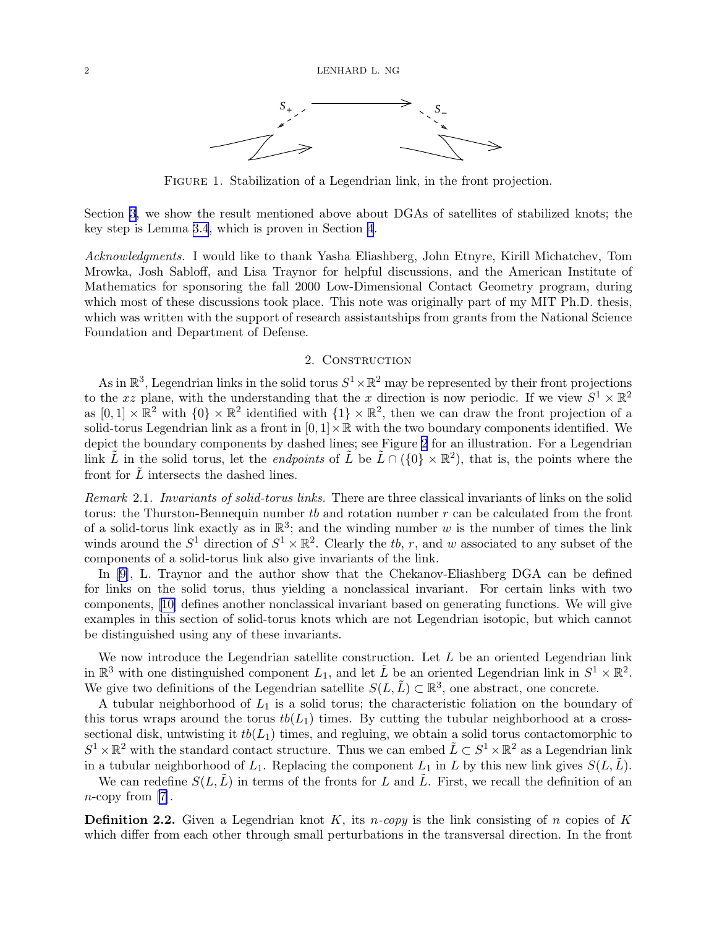<span id="page-1-0"></span>

FIGURE 1. Stabilization of a Legendrian link, in the front projection.

Section [3](#page-5-0), we show the result mentioned above about DGAs of satellites of stabilized knots; the key step is Lemma [3.4](#page-2-0), which is proven in Section [4](#page-7-0).

Acknowledgments. I would like to thank Yasha Eliashberg, John Etnyre, Kirill Michatchev, Tom Mrowka, Josh Sabloff, and Lisa Traynor for helpful discussions, and the American Institute of Mathematics for sponsoring the fall 2000 Low-Dimensional Contact Geometry program, during which most of these discussions took place. This note was originally part of my MIT Ph.D. thesis, which was written with the support of research assistantships from grants from the National Science Foundation and Department of Defense.

### 2. CONSTRUCTION

As in  $\mathbb{R}^3$ , Legendrian links in the solid torus  $S^1 \times \mathbb{R}^2$  may be represented by their front projections to the x plane, with the understanding that the x direction is now periodic. If we view  $S^1 \times \mathbb{R}^2$ as  $[0,1] \times \mathbb{R}^2$  with  $\{0\} \times \mathbb{R}^2$  identified with  $\{1\} \times \mathbb{R}^2$ , then we can draw the front projection of a solid-torus Legendrian link as a front in  $[0, 1] \times \mathbb{R}$  with the two boundary components identified. We depict the boundary components by dashed lines; see Figure [2](#page-2-0) for an illustration. For a Legendrian link  $\tilde{L}$  in the solid torus, let the *endpoints* of  $\tilde{L}$  be  $\tilde{L} \cap (\{0\} \times \mathbb{R}^2)$ , that is, the points where the front for  $L$  intersects the dashed lines.

Remark 2.1. Invariants of solid-torus links. There are three classical invariants of links on the solid torus: the Thurston-Bennequin number to and rotation number  $r$  can be calculated from the front of a solid-torus link exactly as in  $\mathbb{R}^3$ ; and the winding number w is the number of times the link winds around the  $S^1$  direction of  $S^1 \times \mathbb{R}^2$ . Clearly the tb, r, and w associated to any subset of the components of a solid-torus link also give invariants of the link.

In [\[9\]](#page-9-0), L. Traynor and the author show that the Chekanov-Eliashberg DGA can be defined for links on the solid torus, thus yielding a nonclassical invariant. For certain links with two components,[[10\]](#page-9-0) defines another nonclassical invariant based on generating functions. We will give examples in this section of solid-torus knots which are not Legendrian isotopic, but which cannot be distinguished using any of these invariants.

We now introduce the Legendrian satellite construction. Let  $L$  be an oriented Legendrian link in  $\mathbb{R}^3$  with one distinguished component  $L_1$ , and let  $\tilde{L}$  be an oriented Legendrian link in  $S^1 \times \mathbb{R}^2$ . We give two definitions of the Legendrian satellite  $S(L,\tilde{L}) \subset \mathbb{R}^3$ , one abstract, one concrete.

A tubular neighborhood of  $L_1$  is a solid torus; the characteristic foliation on the boundary of this torus wraps around the torus  $tb(L_1)$  times. By cutting the tubular neighborhood at a crosssectional disk, untwisting it  $tb(L_1)$  times, and regluing, we obtain a solid torus contactomorphic to  $S^1 \times \mathbb{R}^2$  with the standard contact structure. Thus we can embed  $\tilde{L} \subset S^1 \times \mathbb{R}^2$  as a Legendrian link in a tubular neighborhood of  $L_1$ . Replacing the component  $L_1$  in L by this new link gives  $S(L,\tilde{L})$ .

We can redefine  $S(L,\tilde{L})$  in terms of the fronts for L and  $\tilde{L}$ . First, we recall the definition of an  $n$ -copy from [\[7\]](#page-9-0).

**Definition 2.2.** Given a Legendrian knot K, its *n-copy* is the link consisting of *n* copies of K which differ from each other through small perturbations in the transversal direction. In the front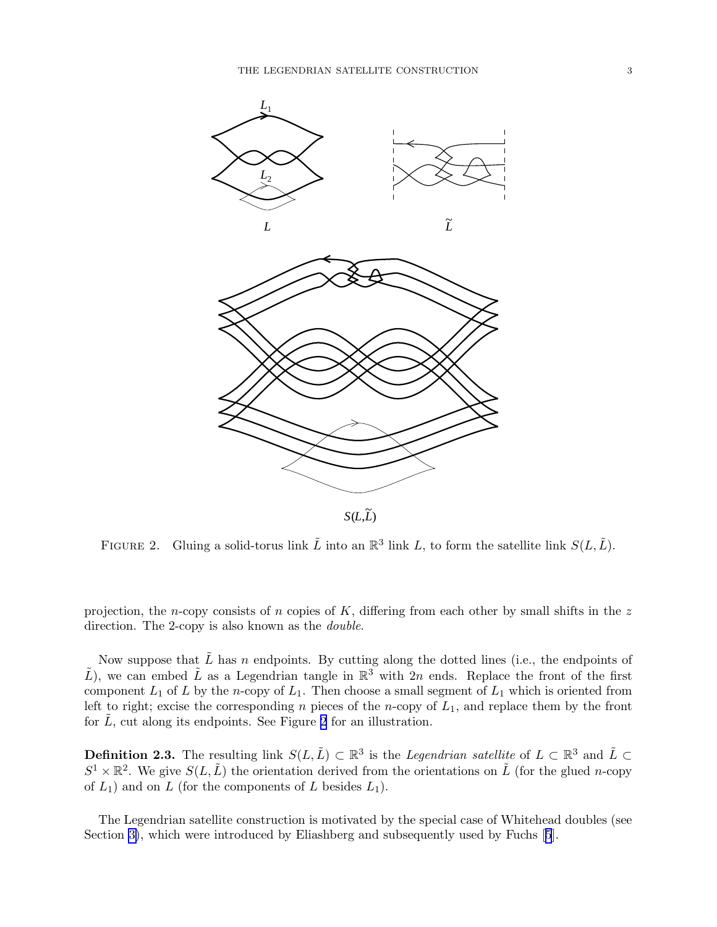<span id="page-2-0"></span>

FIGURE 2. Gluing a solid-torus link  $\tilde{L}$  into an  $\mathbb{R}^3$  link L, to form the satellite link  $S(L, \tilde{L})$ .

projection, the n-copy consists of n copies of  $K$ , differing from each other by small shifts in the z direction. The 2-copy is also known as the *double*.

Now suppose that  $\tilde{L}$  has n endpoints. By cutting along the dotted lines (i.e., the endpoints of  $\tilde{L}$ ), we can embed  $\tilde{L}$  as a Legendrian tangle in  $\mathbb{R}^3$  with 2n ends. Replace the front of the first component  $L_1$  of L by the n-copy of  $L_1$ . Then choose a small segment of  $L_1$  which is oriented from left to right; excise the corresponding n pieces of the n-copy of  $L_1$ , and replace them by the front for  $\tilde{L}$ , cut along its endpoints. See Figure 2 for an illustration.

**Definition 2.3.** The resulting link  $S(L,\tilde{L}) \subset \mathbb{R}^3$  is the *Legendrian satellite* of  $L \subset \mathbb{R}^3$  and  $\tilde{L} \subset$  $S^1 \times \mathbb{R}^2$ . We give  $S(L, \tilde{L})$  the orientation derived from the orientations on  $\tilde{L}$  (for the glued *n*-copy of  $L_1$ ) and on  $L$  (for the components of  $L$  besides  $L_1$ ).

The Legendrian satellite construction is motivated by the special case of Whitehead doubles (see Section [3\)](#page-5-0), which were introduced by Eliashberg and subsequently used by Fuchs[[5](#page-9-0)].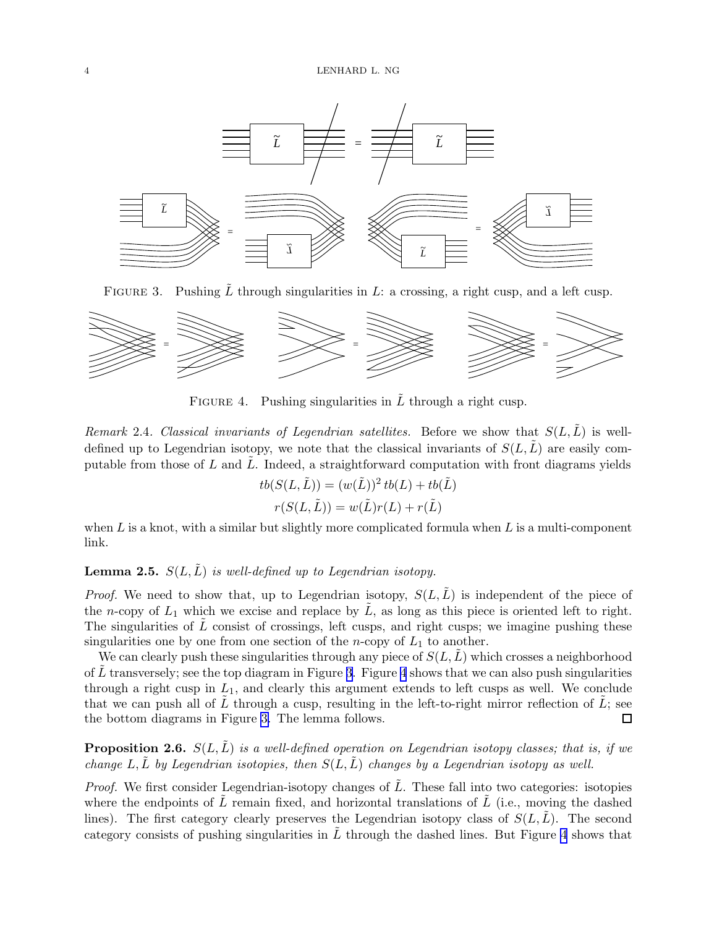<span id="page-3-0"></span>

FIGURE 3. Pushing L through singularities in L: a crossing, a right cusp, and a left cusp.



FIGURE 4. Pushing singularities in  $\tilde{L}$  through a right cusp.

Remark 2.4. Classical invariants of Legendrian satellites. Before we show that  $S(L,\tilde{L})$  is welldefined up to Legendrian isotopy, we note that the classical invariants of  $S(L,L)$  are easily computable from those of  $L$  and  $L$ . Indeed, a straightforward computation with front diagrams yields

$$
tb(S(L, \tilde{L})) = (w(\tilde{L}))^2 tb(L) + tb(\tilde{L})
$$

$$
r(S(L, \tilde{L})) = w(\tilde{L})r(L) + r(\tilde{L})
$$

when  $L$  is a knot, with a similar but slightly more complicated formula when  $L$  is a multi-component link.

## **Lemma 2.5.**  $S(L,\tilde{L})$  is well-defined up to Legendrian isotopy.

*Proof.* We need to show that, up to Legendrian isotopy,  $S(L,L)$  is independent of the piece of the n-copy of  $L_1$  which we excise and replace by  $\tilde{L}$ , as long as this piece is oriented left to right. The singularities of  $\tilde{L}$  consist of crossings, left cusps, and right cusps; we imagine pushing these singularities one by one from one section of the *n*-copy of  $L_1$  to another.

We can clearly push these singularities through any piece of  $S(L,L)$  which crosses a neighborhood of L transversely; see the top diagram in Figure 3. Figure 4 shows that we can also push singularities through a right cusp in  $L_1$ , and clearly this argument extends to left cusps as well. We conclude that we can push all of L through a cusp, resulting in the left-to-right mirror reflection of L; see the bottom diagrams in Figure 3. The lemma follows. □

**Proposition 2.6.**  $S(L,\tilde{L})$  is a well-defined operation on Legendrian isotopy classes; that is, if we change L, L by Legendrian isotopies, then  $S(L,L)$  changes by a Legendrian isotopy as well.

*Proof.* We first consider Legendrian-isotopy changes of  $\tilde{L}$ . These fall into two categories: isotopies where the endpoints of  $L$  remain fixed, and horizontal translations of  $L$  (i.e., moving the dashed lines). The first category clearly preserves the Legendrian isotopy class of  $S(L,L)$ . The second category consists of pushing singularities in  $\tilde{L}$  through the dashed lines. But Figure 4 shows that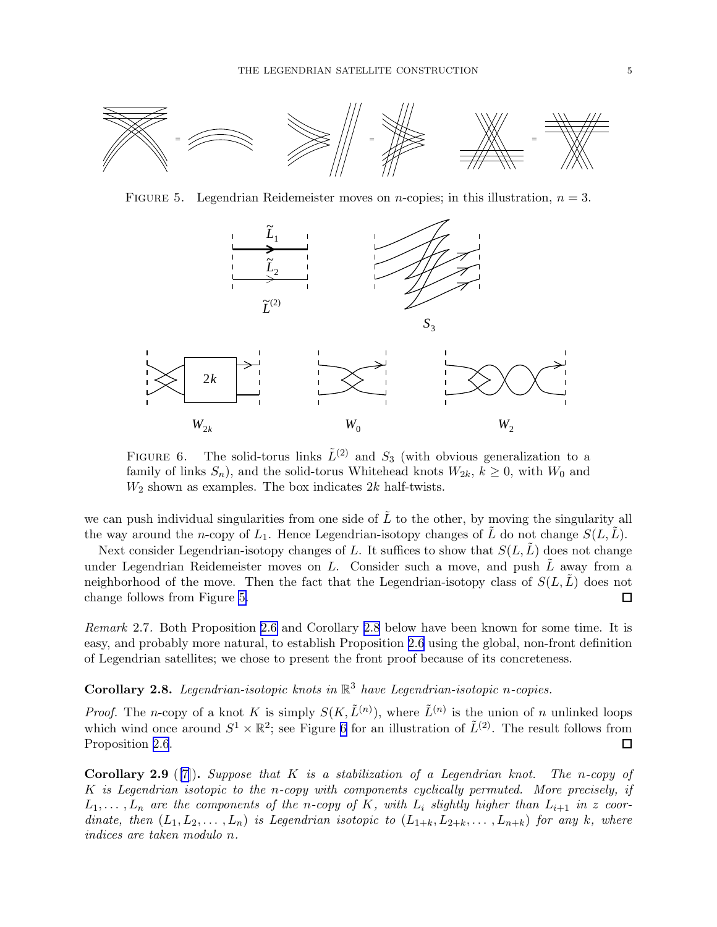<span id="page-4-0"></span>

FIGURE 5. Legendrian Reidemeister moves on *n*-copies; in this illustration,  $n = 3$ .



FIGURE 6. The solid-torus links  $\tilde{L}^{(2)}$  and  $S_3$  (with obvious generalization to a family of links  $S_n$ ), and the solid-torus Whitehead knots  $W_{2k}$ ,  $k \geq 0$ , with  $W_0$  and  $W_2$  shown as examples. The box indicates  $2k$  half-twists.

we can push individual singularities from one side of  $\overline{L}$  to the other, by moving the singularity all the way around the n-copy of  $L_1$ . Hence Legendrian-isotopy changes of L do not change  $S(L,L)$ .

Next consider Legendrian-isotopy changes of L. It suffices to show that  $S(L,L)$  does not change under Legendrian Reidemeister moves on  $L$ . Consider such a move, and push  $L$  away from a neighborhood of the move. Then the fact that the Legendrian-isotopy class of  $S(L,L)$  does not change follows from Figure 5.  $\Box$ 

Remark 2.7. Both Proposition [2.6](#page-3-0) and Corollary 2.8 below have been known for some time. It is easy, and probably more natural, to establish Proposition [2.6](#page-3-0) using the global, non-front definition of Legendrian satellites; we chose to present the front proof because of its concreteness.

## **Corollary 2.8.** Legendrian-isotopic knots in  $\mathbb{R}^3$  have Legendrian-isotopic n-copies.

*Proof.* The n-copy of a knot K is simply  $S(K, \tilde{L}^{(n)})$ , where  $\tilde{L}^{(n)}$  is the union of n unlinked loops which wind once around  $S^1 \times \mathbb{R}^2$ ; see Figure 6 for an illustration of  $\tilde{L}^{(2)}$ . The result follows from Proposition [2.6](#page-3-0).  $\Box$ 

**Corollary 2.9** ([\[7\]](#page-9-0)). Suppose that K is a stabilization of a Legendrian knot. The n-copy of K is Legendrian isotopic to the n-copy with components cyclically permuted. More precisely, if  $L_1, \ldots, L_n$  are the components of the n-copy of K, with  $L_i$  slightly higher than  $L_{i+1}$  in z coordinate, then  $(L_1, L_2, \ldots, L_n)$  is Legendrian isotopic to  $(L_{1+k}, L_{2+k}, \ldots, L_{n+k})$  for any k, where indices are taken modulo n.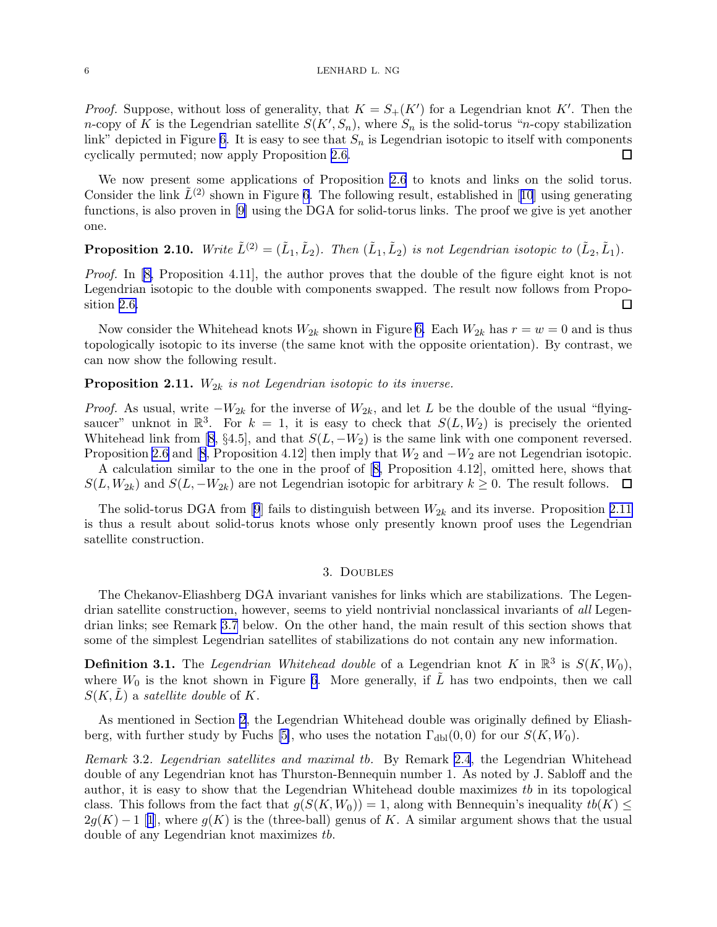<span id="page-5-0"></span>*Proof.* Suppose, without loss of generality, that  $K = S_+(K')$  for a Legendrian knot K'. Then the *n*-copy of K is the Legendrian satellite  $S(K', S_n)$ , where  $S_n$  is the solid-torus "*n*-copy stabilization link" depicted in Figure [6](#page-4-0). It is easy to see that  $S_n$  is Legendrian isotopic to itself with components cyclically permuted; now apply Proposition [2.6.](#page-3-0)  $\Box$ 

We now present some applications of Proposition [2.6](#page-3-0) to knots and links on the solid torus. Considerthe link  $L^{(2)}$  shown in Figure [6](#page-4-0). The following result, established in [[10](#page-9-0)] using generating functions, is also proven in [\[9\]](#page-9-0) using the DGA for solid-torus links. The proof we give is yet another one.

# **Proposition 2.10.** Write  $\tilde{L}^{(2)} = (\tilde{L}_1, \tilde{L}_2)$ . Then  $(\tilde{L}_1, \tilde{L}_2)$  is not Legendrian isotopic to  $(\tilde{L}_2, \tilde{L}_1)$ .

Proof. In [\[8,](#page-9-0) Proposition 4.11], the author proves that the double of the figure eight knot is not Legendrian isotopic to the double with components swapped. The result now follows from Proposition [2.6.](#page-3-0) □

Now consider the Whitehead knots  $W_{2k}$  shown in Figure [6.](#page-4-0) Each  $W_{2k}$  has  $r = w = 0$  and is thus topologically isotopic to its inverse (the same knot with the opposite orientation). By contrast, we can now show the following result.

### **Proposition 2.11.**  $W_{2k}$  is not Legendrian isotopic to its inverse.

*Proof.* As usual, write  $-W_{2k}$  for the inverse of  $W_{2k}$ , and let L be the double of the usual "flyingsaucer" unknot in  $\mathbb{R}^3$ . For  $k = 1$ , it is easy to check that  $S(L, W_2)$  is precisely the oriented Whiteheadlink from [[8](#page-9-0), §4.5], and that  $S(L, -W_2)$  is the same link with one component reversed. Proposition [2.6](#page-3-0)and [[8](#page-9-0), Proposition 4.12] then imply that  $W_2$  and  $-W_2$  are not Legendrian isotopic.

A calculation similar to the one in the proof of[[8](#page-9-0), Proposition 4.12], omitted here, shows that  $S(L, W_{2k})$  and  $S(L, -W_{2k})$  are not Legendrian isotopic for arbitrary  $k \geq 0$ . The result follows.  $\Box$ 

Thesolid-torus DGA from [[9](#page-9-0)] fails to distinguish between  $W_{2k}$  and its inverse. Proposition 2.11 is thus a result about solid-torus knots whose only presently known proof uses the Legendrian satellite construction.

### 3. Doubles

The Chekanov-Eliashberg DGA invariant vanishes for links which are stabilizations. The Legendrian satellite construction, however, seems to yield nontrivial nonclassical invariants of all Legendrian links; see Remark [3.7](#page-4-0) below. On the other hand, the main result of this section shows that some of the simplest Legendrian satellites of stabilizations do not contain any new information.

**Definition 3.1.** The *Legendrian Whitehead double* of a Legendrian knot K in  $\mathbb{R}^3$  is  $S(K, W_0)$ , where  $W_0$  is the knot shown in Figure [6](#page-4-0). More generally, if  $\tilde{L}$  has two endpoints, then we call  $S(K, L)$  a satellite double of K.

As mentioned in Section [2](#page-1-0), the Legendrian Whitehead double was originally defined by Eliash-berg, with further study by Fuchs [\[5\]](#page-9-0), who uses the notation  $\Gamma_{\text{dbl}}(0,0)$  for our  $S(K, W_0)$ .

Remark 3.2. Legendrian satellites and maximal tb. By Remark [2.4](#page-2-0), the Legendrian Whitehead double of any Legendrian knot has Thurston-Bennequin number 1. As noted by J. Sabloff and the author, it is easy to show that the Legendrian Whitehead double maximizes tb in its topological class. This follows from the fact that  $q(S(K, W_0)) = 1$ , along with Bennequin's inequality  $tb(K) \leq$  $2g(K) - 1$  $2g(K) - 1$  $2g(K) - 1$  $2g(K) - 1$  [1], where  $g(K)$  is the (three-ball) genus of K. A similar argument shows that the usual double of any Legendrian knot maximizes tb.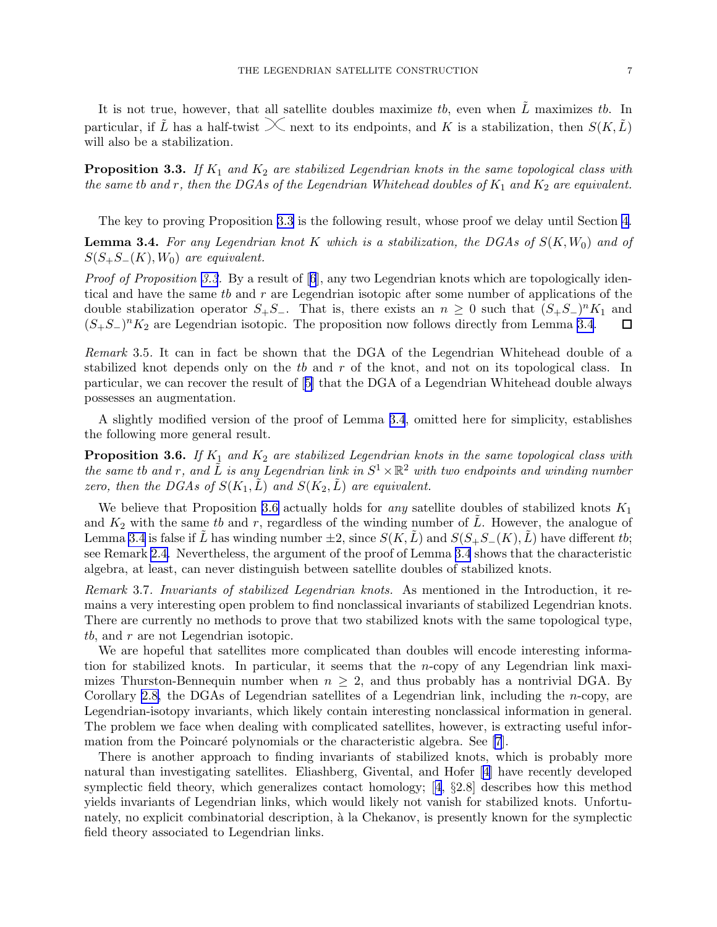It is not true, however, that all satellite doubles maximize tb, even when  $\tilde{L}$  maximizes tb. In particular, if  $\tilde{L}$  has a half-twist  $\chi$  next to its endpoints, and K is a stabilization, then  $S(K,\tilde{L})$ will also be a stabilization.

**Proposition 3.3.** If  $K_1$  and  $K_2$  are stabilized Legendrian knots in the same topological class with the same tb and r, then the DGAs of the Legendrian Whitehead doubles of  $K_1$  and  $K_2$  are equivalent.

The key to proving Proposition [3.3](#page-2-0) is the following result, whose proof we delay until Section [4.](#page-7-0)

**Lemma 3.4.** For any Legendrian knot K which is a stabilization, the DGAs of  $S(K, W_0)$  and of  $S(S_+S_-(K), W_0)$  are equivalent.

*Proof of Proposition [3.3](#page-2-0).*By a result of  $[6]$  $[6]$  $[6]$ , any two Legendrian knots which are topologically identical and have the same tb and r are Legendrian isotopic after some number of applications of the double stabilization operator  $S_+S_-$ . That is, there exists an  $n \geq 0$  such that  $(S_+S_-)^n K_1$  and  $(S_+S_-)^nK_2$  are Legendrian isotopic. The proposition now follows directly from Lemma [3.4](#page-2-0). 口

Remark 3.5. It can in fact be shown that the DGA of the Legendrian Whitehead double of a stabilized knot depends only on the  $tb$  and  $r$  of the knot, and not on its topological class. In particular, we can recover the result of[[5](#page-9-0)] that the DGA of a Legendrian Whitehead double always possesses an augmentation.

A slightly modified version of the proof of Lemma [3.4](#page-2-0), omitted here for simplicity, establishes the following more general result.

**Proposition 3.6.** If  $K_1$  and  $K_2$  are stabilized Legendrian knots in the same topological class with the same tb and r, and  $\tilde{L}$  is any Legendrian link in  $S^1 \times \mathbb{R}^2$  with two endpoints and winding number zero, then the DGAs of  $S(K_1, \tilde{L})$  and  $S(K_2, \tilde{L})$  are equivalent.

We believe that Proposition [3.6](#page-3-0) actually holds for *any* satellite doubles of stabilized knots  $K_1$ and  $K_2$  with the same tb and r, regardless of the winding number of  $\tilde{L}$ . However, the analogue of Lemma [3.4](#page-2-0) is false if L has winding number  $\pm 2$ , since  $S(K,L)$  and  $S(S_+S_-(K),L)$  have different tb; see Remark [2.4.](#page-2-0) Nevertheless, the argument of the proof of Lemma [3.4](#page-2-0) shows that the characteristic algebra, at least, can never distinguish between satellite doubles of stabilized knots.

Remark 3.7. Invariants of stabilized Legendrian knots. As mentioned in the Introduction, it remains a very interesting open problem to find nonclassical invariants of stabilized Legendrian knots. There are currently no methods to prove that two stabilized knots with the same topological type, tb, and r are not Legendrian isotopic.

We are hopeful that satellites more complicated than doubles will encode interesting information for stabilized knots. In particular, it seems that the n-copy of any Legendrian link maximizes Thurston-Bennequin number when  $n \geq 2$ , and thus probably has a nontrivial DGA. By Corollary [2.8,](#page-4-0) the DGAs of Legendrian satellites of a Legendrian link, including the *n*-copy, are Legendrian-isotopy invariants, which likely contain interesting nonclassical information in general. The problem we face when dealing with complicated satellites, however, is extracting useful infor-mation from the Poincaré polynomials or the characteristic algebra. See [\[7](#page-9-0)].

There is another approach to finding invariants of stabilized knots, which is probably more natural than investigating satellites. Eliashberg, Givental, and Hofer[[4](#page-9-0)] have recently developed symplectic field theory, which generalizes contact homology;[[4](#page-9-0), §2.8] describes how this method yields invariants of Legendrian links, which would likely not vanish for stabilized knots. Unfortunately, no explicit combinatorial description, à la Chekanov, is presently known for the symplectic field theory associated to Legendrian links.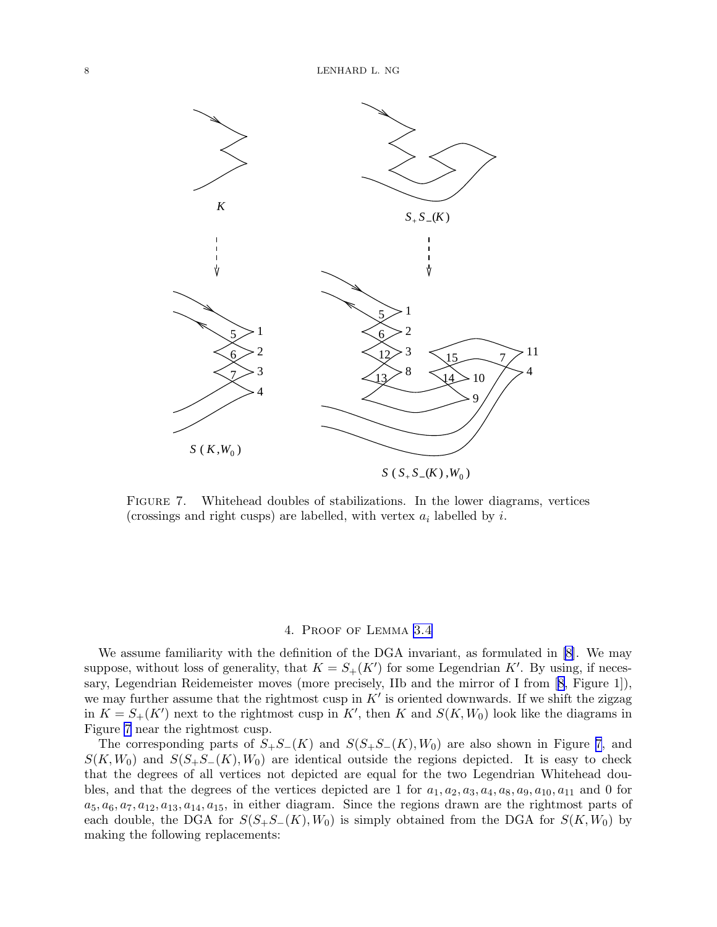<span id="page-7-0"></span>

Figure 7. Whitehead doubles of stabilizations. In the lower diagrams, vertices (crossings and right cusps) are labelled, with vertex  $a_i$  labelled by i.

### 4. Proof of Lemma [3.4](#page-2-0)

We assume familiarity with the definition of the DGA invariant, as formulated in [\[8\]](#page-9-0). We may suppose, without loss of generality, that  $K = S_+(K')$  for some Legendrian K'. By using, if necessary, Legendrian Reidemeister moves (more precisely, IIb and the mirror of I from[[8](#page-9-0), Figure 1]), we may further assume that the rightmost cusp in  $K'$  is oriented downwards. If we shift the zigzag in  $K = S<sub>+</sub>(K')$  next to the rightmost cusp in K', then K and  $S(K, W_0)$  look like the diagrams in Figure 7 near the rightmost cusp.

The corresponding parts of  $S_+S_-(K)$  and  $S(S_+S_-(K), W_0)$  are also shown in Figure 7, and  $S(K, W_0)$  and  $S(S_+S_-(K), W_0)$  are identical outside the regions depicted. It is easy to check that the degrees of all vertices not depicted are equal for the two Legendrian Whitehead doubles, and that the degrees of the vertices depicted are 1 for  $a_1, a_2, a_3, a_4, a_8, a_9, a_{10}, a_{11}$  and 0 for  $a_5, a_6, a_7, a_{12}, a_{13}, a_{14}, a_{15}$ , in either diagram. Since the regions drawn are the rightmost parts of each double, the DGA for  $S(S_+S_-(K), W_0)$  is simply obtained from the DGA for  $S(K, W_0)$  by making the following replacements: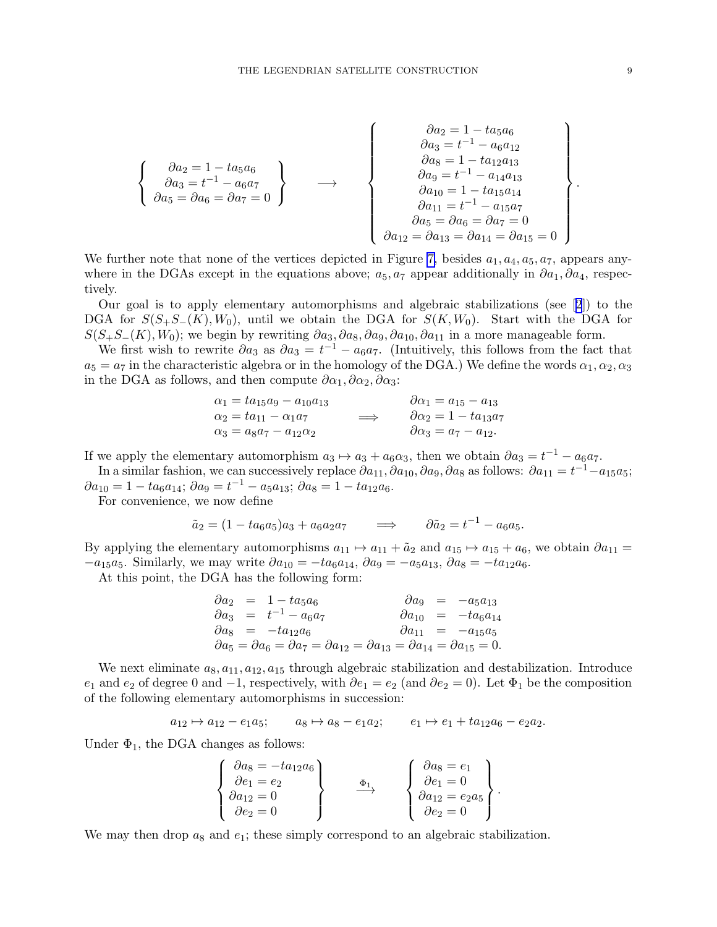$$
\begin{Bmatrix}\n\frac{\partial a_2}{\partial a_3} = 1 - ta_5 a_6 \\
\frac{\partial a_3}{\partial a_3} = t^{-1} - a_6 a_7 \\
\frac{\partial a_5}{\partial a_6} = \partial a_6 = \partial a_7 = 0\n\end{Bmatrix}\n\longrightarrow\n\begin{Bmatrix}\n\frac{\partial a_2}{\partial a_3} = 1 - ta_5 a_6 \\
\frac{\partial a_3}{\partial a_3} = t^{-1} - a_6 a_{12} \\
\frac{\partial a_3}{\partial a_3} = 1 - ta_{12} a_{13} \\
\frac{\partial a_3}{\partial a_3} = 1 - ta_{12} a_{13} \\
\frac{\partial a_3}{\partial a_1} = t^{-1} - a_{14} a_{13} \\
\frac{\partial a_1}{\partial a_1} = t^{-1} - a_{15} a_7 \\
\frac{\partial a_5}{\partial a_1} = \partial a_{13} = \partial a_{14} = \partial a_{15} = 0\n\end{Bmatrix}
$$

We further note that none of the vertices depicted in Figure [7,](#page-7-0) besides  $a_1, a_4, a_5, a_7$ , appears anywhere in the DGAs except in the equations above;  $a_5, a_7$  appear additionally in  $\partial a_1, \partial a_4$ , respectively.

Our goal is to apply elementary automorphisms and algebraic stabilizations (see[[2](#page-9-0)]) to the DGA for  $S(S_+S_-(K), W_0)$ , until we obtain the DGA for  $S(K, W_0)$ . Start with the DGA for  $S(S_+S_-(K), W_0)$ ; we begin by rewriting  $\partial a_3, \partial a_8, \partial a_9, \partial a_{10}, \partial a_{11}$  in a more manageable form.

We first wish to rewrite  $\partial a_3$  as  $\partial a_3 = t^{-1} - a_6 a_7$ . (Intuitively, this follows from the fact that  $a_5 = a_7$  in the characteristic algebra or in the homology of the DGA.) We define the words  $\alpha_1, \alpha_2, \alpha_3$ in the DGA as follows, and then compute  $\partial \alpha_1, \partial \alpha_2, \partial \alpha_3$ :

$$
\alpha_1 = ta_{15}a_9 - a_{10}a_{13} \n\alpha_2 = ta_{11} - \alpha_1a_7 \n\alpha_3 = a_8a_7 - a_{12}\alpha_2
$$
\n
$$
\alpha_4 = a_{15} - a_{13} \n\alpha_5 = a_{16} - a_{12}\alpha_2
$$
\n
$$
\alpha_6 = a_{17} - a_{12}.
$$

If we apply the elementary automorphism  $a_3 \mapsto a_3 + a_6 \alpha_3$ , then we obtain  $\partial a_3 = t^{-1} - a_6 a_7$ .

In a similar fashion, we can successively replace  $\partial a_{11}$ ,  $\partial a_{10}$ ,  $\partial a_{9}$ ,  $\partial a_{8}$  as follows:  $\partial a_{11} = t^{-1} - a_{15}a_{5}$ ;  $\partial a_{10} = 1 - ta_6a_{14}; \ \partial a_9 = t^{-1} - a_5a_{13}; \ \partial a_8 = 1 - ta_{12}a_6.$ 

For convenience, we now define

$$
\tilde{a}_2 = (1 - ta_6a_5)a_3 + a_6a_2a_7 \qquad \Longrightarrow \qquad \partial \tilde{a}_2 = t^{-1} - a_6a_5.
$$

By applying the elementary automorphisms  $a_{11} \mapsto a_{11} + \tilde{a}_2$  and  $a_{15} \mapsto a_{15} + a_6$ , we obtain  $\partial a_{11} =$  $-a_{15}a_5$ . Similarly, we may write  $\partial a_{10} = -ta_6a_{14}$ ,  $\partial a_9 = -a_5a_{13}$ ,  $\partial a_8 = -ta_{12}a_6$ .

At this point, the DGA has the following form:

$$
\begin{array}{rcl}\n\partial a_2 &=& 1-t a_5 a_6 \\
\partial a_3 &=& t^{-1} - a_6 a_7 \\
\partial a_8 &=& -t a_{12} a_6 \\
\partial a_5 &=& \partial a_6 = \partial a_7 = \partial a_{12} = \partial a_{13} = \partial a_{14} = \partial a_{15} = 0.\n\end{array}
$$
\n
$$
\begin{array}{rcl}\n\partial a_9 &=& -a_5 a_{13} \\
\partial a_{10} &=& -t a_6 a_{14} \\
\partial a_{11} &=& -a_{15} a_5 \\
\partial a_{15} &=& 0.\n\end{array}
$$

We next eliminate  $a_8, a_{11}, a_{12}, a_{15}$  through algebraic stabilization and destabilization. Introduce  $e_1$  and  $e_2$  of degree 0 and  $-1$ , respectively, with  $\partial e_1 = e_2$  (and  $\partial e_2 = 0$ ). Let  $\Phi_1$  be the composition of the following elementary automorphisms in succession:

$$
a_{12} \rightarrow a_{12} - e_1 a_5;
$$
  $a_8 \rightarrow a_8 - e_1 a_2;$   $e_1 \rightarrow e_1 + t a_{12} a_6 - e_2 a_2.$ 

Under  $\Phi_1$ , the DGA changes as follows:

$$
\begin{Bmatrix}\n\frac{\partial a_8 - -\alpha a_1 \partial a_6}{\partial e_1 - e_2} \\
\frac{\partial a_1 \partial a_2}{\partial e_2 - 0} \\
\frac{\partial a_2 \partial a_3}{\partial e_3 - 0}\n\end{Bmatrix}\n\qquad\n\frac{\Phi_1}{\longrightarrow}\n\qquad\n\begin{Bmatrix}\n\frac{\partial a_8 - e_1}{\partial e_1 - 0} \\
\frac{\partial a_1 \partial a_2}{\partial e_2 - 0} \\
\frac{\partial a_2 \partial a_5}{\partial e_3 - 0}\n\end{Bmatrix}.
$$

We may then drop  $a_8$  and  $e_1$ ; these simply correspond to an algebraic stabilization.

.